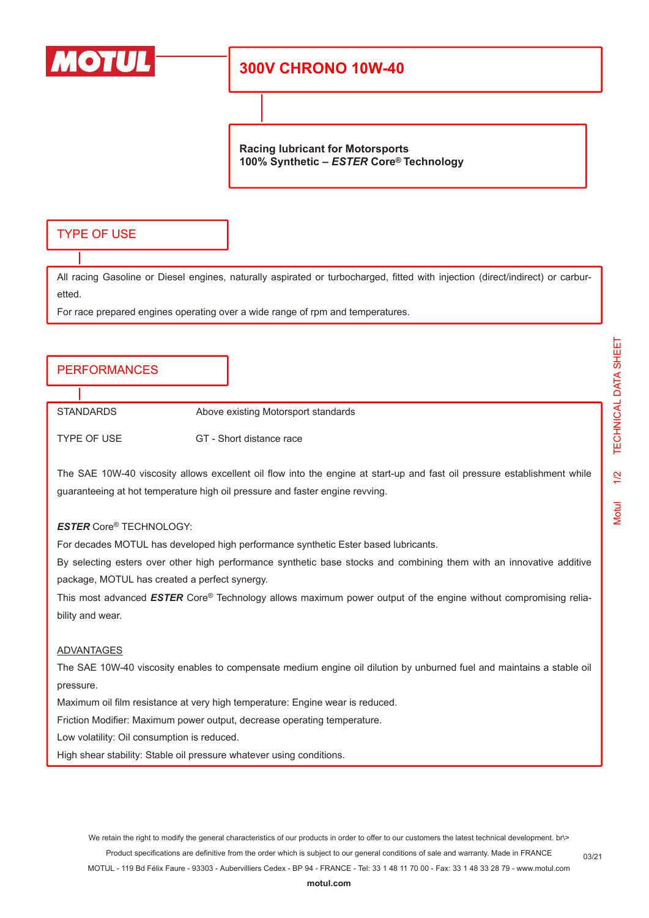

# **300V CHRONO 10W-40**

**Racing lubricant for Motorsports 100% Synthetic –** *ESTER* **Core® Technology**

## TYPE OF USE

All racing Gasoline or Diesel engines, naturally aspirated or turbocharged, fitted with injection (direct/indirect) or carburetted.

For race prepared engines operating over a wide range of rpm and temperatures.

### PERFORMANCES

STANDARDS Above existing Motorsport standards

TYPE OF USE GT - Short distance race

The SAE 10W-40 viscosity allows excellent oil flow into the engine at start-up and fast oil pressure establishment while guaranteeing at hot temperature high oil pressure and faster engine revving.

#### *ESTER* Core® TECHNOLOGY:

For decades MOTUL has developed high performance synthetic Ester based lubricants.

By selecting esters over other high performance synthetic base stocks and combining them with an innovative additive package, MOTUL has created a perfect synergy.

This most advanced *ESTER* Core® Technology allows maximum power output of the engine without compromising reliability and wear.

#### ADVANTAGES

The SAE 10W-40 viscosity enables to compensate medium engine oil dilution by unburned fuel and maintains a stable oil pressure.

Maximum oil film resistance at very high temperature: Engine wear is reduced.

Friction Modifier: Maximum power output, decrease operating temperature.

Low volatility: Oil consumption is reduced.

High shear stability: Stable oil pressure whatever using conditions.

Motul 1/2 TECHNICAL DATA SHEET

 $\frac{1}{2}$ 

**Motul** 

TECHNICAL DATA SHEET